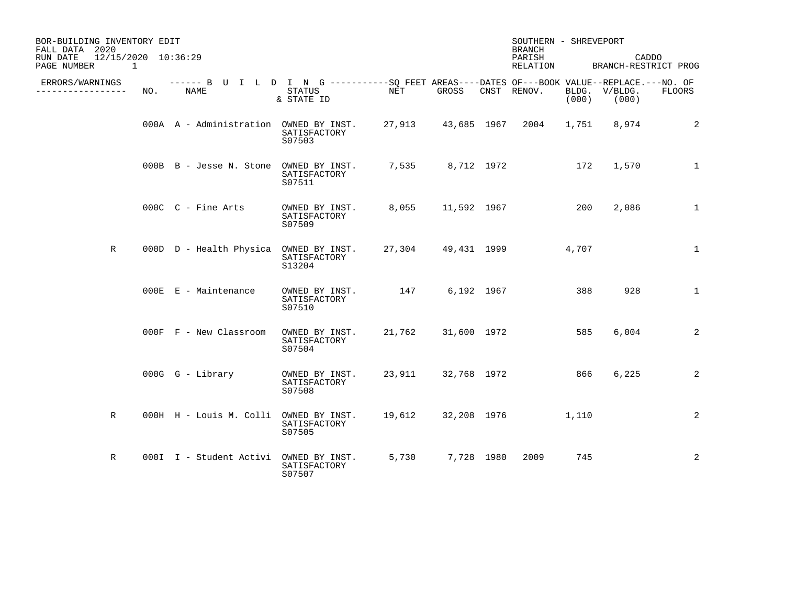| BOR-BUILDING INVENTORY EDIT<br>FALL DATA 2020<br>RUN DATE<br>12/15/2020 10:36:29<br>PAGE NUMBER<br>1 |     |                                                                                                    |                                          |        |                    | <b>BRANCH</b><br>PARISH<br>RELATION | SOUTHERN - SHREVEPORT<br>CADDO<br>BRANCH-RESTRICT PROG |       |                        |               |
|------------------------------------------------------------------------------------------------------|-----|----------------------------------------------------------------------------------------------------|------------------------------------------|--------|--------------------|-------------------------------------|--------------------------------------------------------|-------|------------------------|---------------|
| ERRORS/WARNINGS<br>----------------                                                                  | NO. | ------ B U I L D I N G ----------SO FEET AREAS----DATES OF---BOOK VALUE--REPLACE.---NO. OF<br>NAME | STATUS<br>& STATE ID                     | NET    | GROSS              |                                     | CNST RENOV.                                            | (000) | BLDG. V/BLDG.<br>(000) | <b>FLOORS</b> |
|                                                                                                      |     | 000A A - Administration OWNED BY INST.                                                             | SATISFACTORY<br>S07503                   |        | 27,913 43,685 1967 |                                     | 2004                                                   | 1,751 | 8,974                  | 2             |
|                                                                                                      |     | 000B B - Jesse N. Stone OWNED BY INST.                                                             | SATISFACTORY<br>S07511                   | 7,535  | 8,712 1972         |                                     |                                                        | 172   | 1,570                  | $\mathbf{1}$  |
|                                                                                                      |     | 000C C - Fine Arts                                                                                 | OWNED BY INST.<br>SATISFACTORY<br>S07509 | 8,055  | 11,592 1967        |                                     |                                                        | 200   | 2,086                  | $\mathbf{1}$  |
| R                                                                                                    |     | 000D D - Health Physica                                                                            | OWNED BY INST.<br>SATISFACTORY<br>S13204 |        |                    |                                     | 27,304 49,431 1999                                     | 4,707 |                        | $\mathbf{1}$  |
|                                                                                                      |     | $000E$ $E$ - Maintenance                                                                           | OWNED BY INST.<br>SATISFACTORY<br>S07510 | 147    | 6,192 1967         |                                     |                                                        | 388   | 928                    | $\mathbf{1}$  |
|                                                                                                      |     | $000F$ $F$ - New Classroom                                                                         | OWNED BY INST.<br>SATISFACTORY<br>S07504 | 21,762 | 31,600 1972        |                                     |                                                        | 585   | 6,004                  | 2             |
|                                                                                                      |     | $000G$ $G$ - Library                                                                               | OWNED BY INST.<br>SATISFACTORY<br>S07508 |        | 23,911 32,768 1972 |                                     |                                                        | 866   | 6,225                  | 2             |
| R                                                                                                    |     | 000H H - Louis M. Colli OWNED BY INST.                                                             | SATISFACTORY<br>S07505                   | 19,612 | 32,208 1976        |                                     |                                                        | 1,110 |                        | 2             |
| R                                                                                                    |     | 000I I - Student Activi                                                                            | OWNED BY INST.<br>SATISFACTORY<br>S07507 | 5,730  | 7,728 1980         |                                     | 2009                                                   | 745   |                        | 2             |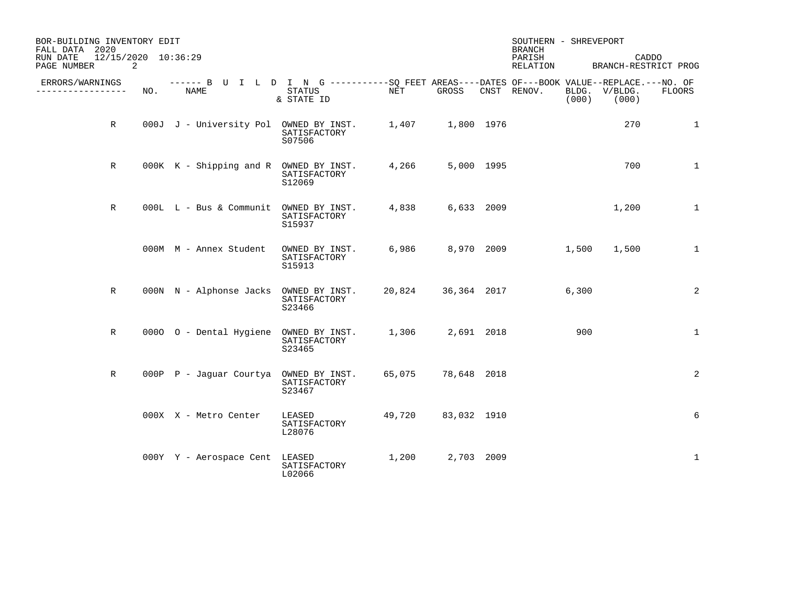| BOR-BUILDING INVENTORY EDIT<br>FALL DATA 2020<br>12/15/2020 10:36:29<br>RUN DATE |     |                                                                                                     |                                          |        |             | <b>BRANCH</b><br>PARISH | SOUTHERN - SHREVEPORT<br>CADDO |       |                        |               |
|----------------------------------------------------------------------------------|-----|-----------------------------------------------------------------------------------------------------|------------------------------------------|--------|-------------|-------------------------|--------------------------------|-------|------------------------|---------------|
| PAGE NUMBER<br>2                                                                 |     |                                                                                                     |                                          |        |             |                         | RELATION                       |       | BRANCH-RESTRICT PROG   |               |
| ERRORS/WARNINGS<br>_________________                                             | NO. | ------ B U I L D I N G -----------SQ FEET AREAS----DATES OF---BOOK VALUE--REPLACE.---NO. OF<br>NAME | STATUS<br>& STATE ID                     | NET    | GROSS       |                         | CNST RENOV.                    | (000) | BLDG. V/BLDG.<br>(000) | <b>FLOORS</b> |
| $\mathbb R$                                                                      |     | 000J J - University Pol OWNED BY INST. 1,407 1,800 1976                                             | SATISFACTORY<br>S07506                   |        |             |                         |                                |       | 270                    | $\mathbf 1$   |
| R                                                                                |     | 000K K - Shipping and R OWNED BY INST.                                                              | SATISFACTORY<br>S12069                   | 4,266  | 5,000 1995  |                         |                                |       | 700                    | $\mathbf 1$   |
| R                                                                                |     | 000L L - Bus & Communit OWNED BY INST.                                                              | SATISFACTORY<br>S15937                   | 4,838  | 6,633 2009  |                         |                                |       | 1,200                  | $\mathbf{1}$  |
|                                                                                  |     | 000M M - Annex Student                                                                              | OWNED BY INST.<br>SATISFACTORY<br>S15913 | 6,986  |             |                         | 8,970 2009                     | 1,500 | 1,500                  | $\mathbf{1}$  |
| $\mathbb{R}$                                                                     |     | 000N N - Alphonse Jacks                                                                             | OWNED BY INST.<br>SATISFACTORY<br>S23466 | 20,824 |             |                         | 36,364 2017                    | 6,300 |                        | 2             |
| $\mathbb{R}$                                                                     |     | 0000 O - Dental Hygiene OWNED BY INST.                                                              | SATISFACTORY<br>S23465                   | 1,306  | 2,691 2018  |                         |                                | 900   |                        | $\mathbf 1$   |
| R                                                                                |     | 000P P - Jaquar Courtya OWNED BY INST.                                                              | SATISFACTORY<br>S23467                   | 65,075 | 78,648 2018 |                         |                                |       |                        | 2             |
|                                                                                  |     | 000X X - Metro Center                                                                               | LEASED<br>SATISFACTORY<br>L28076         | 49,720 | 83,032 1910 |                         |                                |       |                        | 6             |
|                                                                                  |     | 000Y Y - Aerospace Cent                                                                             | LEASED<br>SATISFACTORY<br>L02066         | 1,200  | 2,703 2009  |                         |                                |       |                        | $\mathbf 1$   |